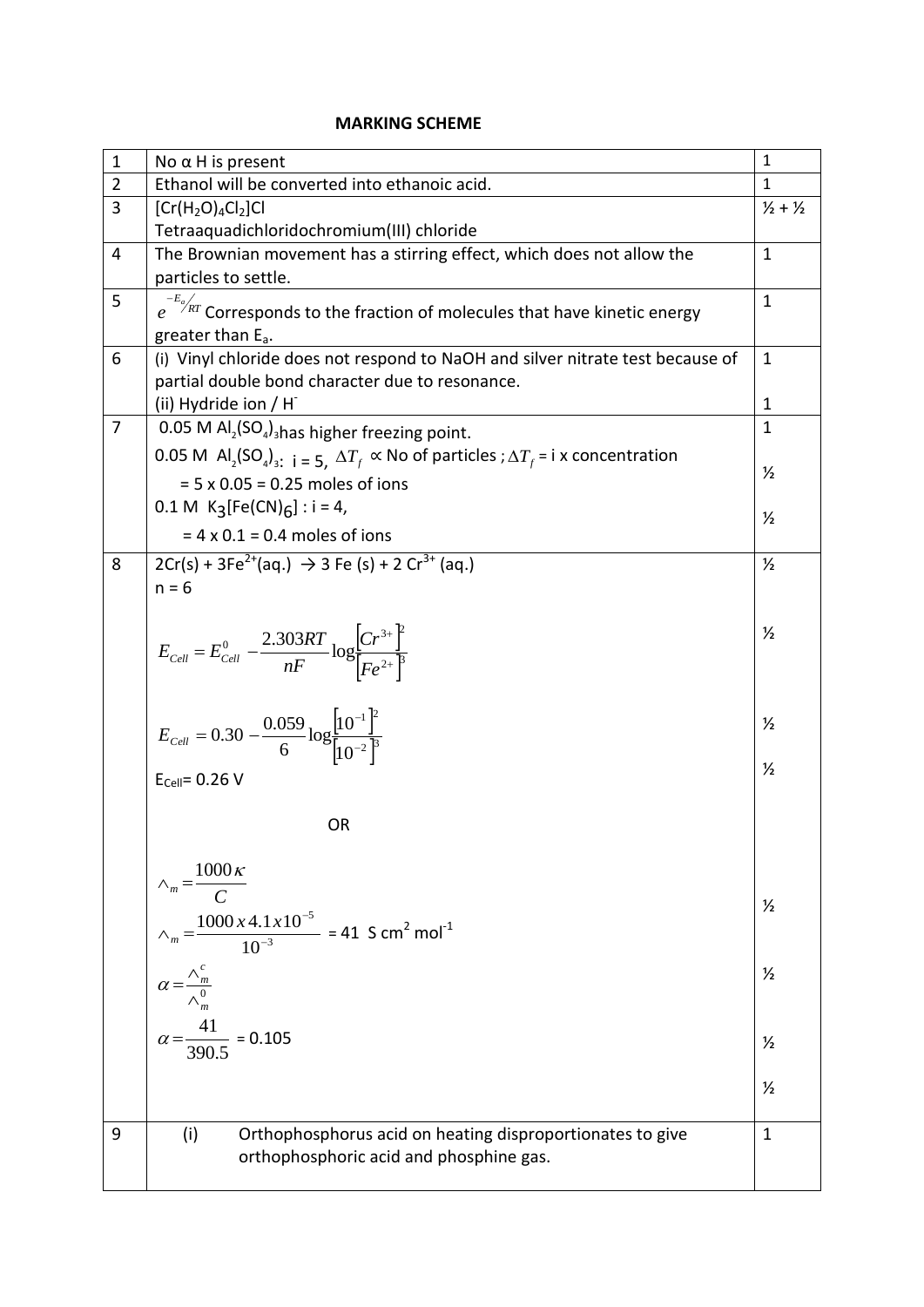### **MARKING SCHEME**

| $\mathbf{1}$   | No $α$ H is present                                                                                                                             | $\mathbf{1}$  |  |
|----------------|-------------------------------------------------------------------------------------------------------------------------------------------------|---------------|--|
| $\overline{2}$ | Ethanol will be converted into ethanoic acid.                                                                                                   | $\mathbf{1}$  |  |
| $\overline{3}$ | $[Cr(H2O)4Cl2]Cl$                                                                                                                               | $1/2 + 1/2$   |  |
|                | Tetraaquadichloridochromium(III) chloride                                                                                                       |               |  |
| $\overline{4}$ | The Brownian movement has a stirring effect, which does not allow the                                                                           | $\mathbf{1}$  |  |
|                | particles to settle.                                                                                                                            |               |  |
| 5              | $e^{-E_a/kT}$ Corresponds to the fraction of molecules that have kinetic energy                                                                 | $\mathbf{1}$  |  |
|                | greater than E <sub>a</sub> .                                                                                                                   |               |  |
| 6              | (i) Vinyl chloride does not respond to NaOH and silver nitrate test because of                                                                  | $\mathbf{1}$  |  |
|                | partial double bond character due to resonance.                                                                                                 |               |  |
|                | (ii) Hydride ion / H                                                                                                                            | $\mathbf{1}$  |  |
| $\overline{7}$ |                                                                                                                                                 |               |  |
|                | 0.05 M $AI_2(SO_4)$ <sub>shas</sub> higher freezing point.                                                                                      |               |  |
|                | 0.05 M Al <sub>2</sub> (SO <sub>4</sub> ) <sub>3</sub> : $i = 5$ , $\Delta T_f \propto$ No of particles ; $\Delta T_f = i \times$ concentration | $\frac{1}{2}$ |  |
|                | $= 5 \times 0.05 = 0.25$ moles of ions                                                                                                          |               |  |
|                | 0.1 M $K_3[Fe(CN)6]$ : i = 4,                                                                                                                   | $\frac{1}{2}$ |  |
|                | $= 4 \times 0.1 = 0.4$ moles of ions                                                                                                            |               |  |
| 8              | $2Cr(s) + 3Fe^{2+}(aq.) \rightarrow 3 Fe (s) + 2 Cr^{3+}(aq.)$                                                                                  | $\frac{1}{2}$ |  |
|                | $n = 6$                                                                                                                                         |               |  |
|                |                                                                                                                                                 |               |  |
|                |                                                                                                                                                 | $\frac{1}{2}$ |  |
|                | $E_{cell} = E_{Cell}^{0} - \frac{2.303RT}{nF} \log \left[ \frac{Cr^{3+}}{\left[Fe^{2+}}\right]^{2}} \right]$                                    |               |  |
|                |                                                                                                                                                 |               |  |
|                |                                                                                                                                                 |               |  |
|                | $E_{cell} = 0.30 - \frac{0.059}{6} \log \frac{\left[10^{-1}\right]^2}{\left[10^{-2}\right]^3}$                                                  | $\frac{1}{2}$ |  |
|                |                                                                                                                                                 |               |  |
|                | $E_{Cell} = 0.26 V$                                                                                                                             | $\frac{1}{2}$ |  |
|                |                                                                                                                                                 |               |  |
|                | <b>OR</b>                                                                                                                                       |               |  |
|                |                                                                                                                                                 |               |  |
|                |                                                                                                                                                 |               |  |
|                | $\wedge_m = \frac{1000 \kappa}{C}$                                                                                                              |               |  |
|                |                                                                                                                                                 | $\frac{1}{2}$ |  |
|                | $\lambda_m = \frac{1000 \times 4.1 \times 10^{-5}}{10^{-3}} = 41 \text{ S cm}^2 \text{ mol}^{-1}$                                               |               |  |
|                |                                                                                                                                                 | $\frac{1}{2}$ |  |
|                | $\alpha = \frac{\wedge_m^c}{\wedge_m^0}$                                                                                                        |               |  |
|                |                                                                                                                                                 |               |  |
|                | $\alpha = \frac{41}{390.5} = 0.105$                                                                                                             | $\frac{1}{2}$ |  |
|                |                                                                                                                                                 |               |  |
|                |                                                                                                                                                 | $\frac{1}{2}$ |  |
|                |                                                                                                                                                 |               |  |
| 9              | Orthophosphorus acid on heating disproportionates to give<br>(i)                                                                                | $\mathbf{1}$  |  |
|                | orthophosphoric acid and phosphine gas.                                                                                                         |               |  |
|                |                                                                                                                                                 |               |  |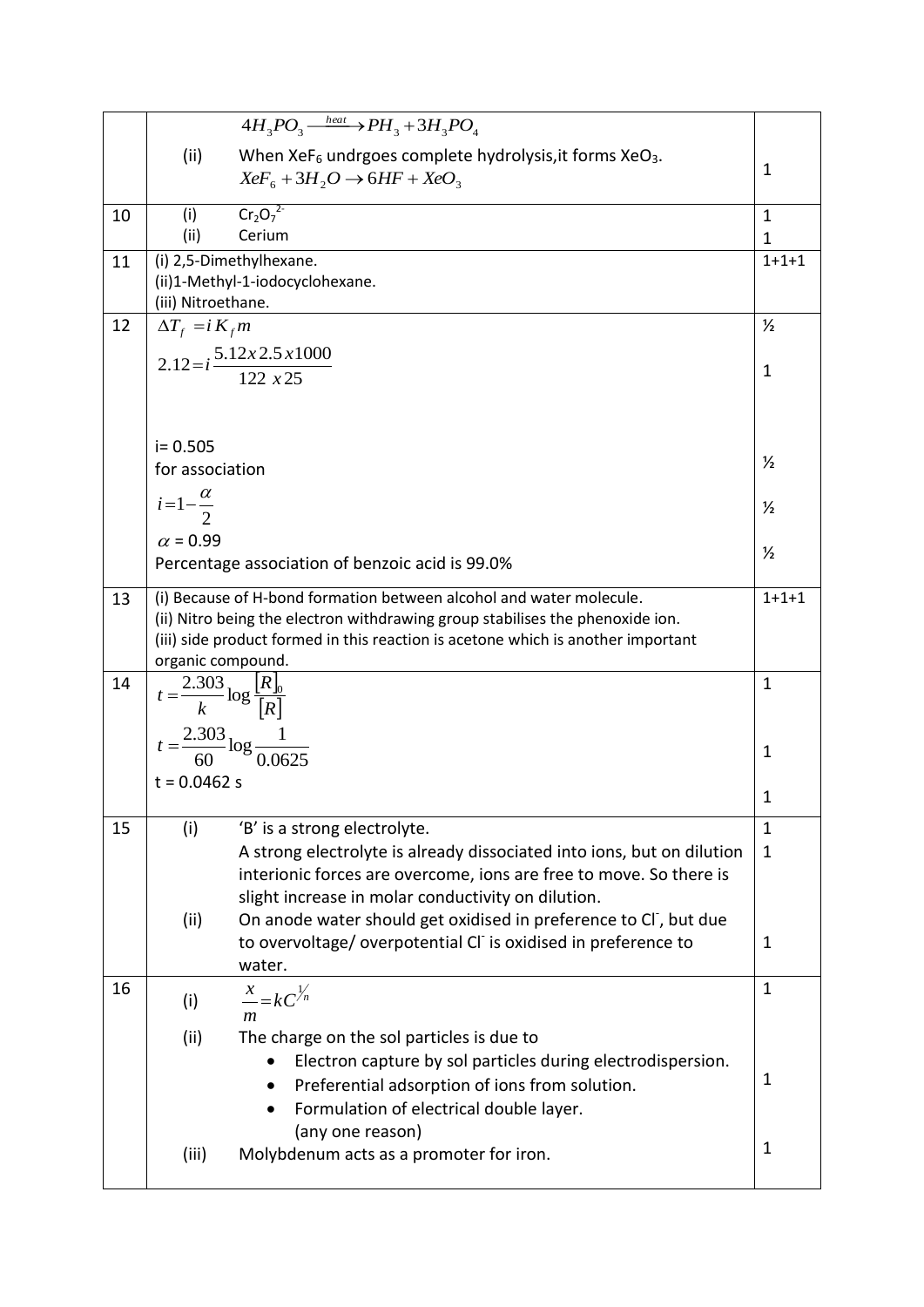|    | $4H_3PO_3 \xrightarrow{\text{heat}} PH_3 + 3H_3PO_4$                                                                                                              |                              |  |  |
|----|-------------------------------------------------------------------------------------------------------------------------------------------------------------------|------------------------------|--|--|
|    | (ii)<br>When XeF <sub>6</sub> undrgoes complete hydrolysis, it forms XeO <sub>3</sub> .                                                                           |                              |  |  |
|    | $XeF_6 + 3H_2O \rightarrow 6HF + XeO_3$                                                                                                                           | $\mathbf{1}$                 |  |  |
|    | $Cr_2O_7^2$                                                                                                                                                       |                              |  |  |
| 10 | (i)<br>(ii)<br>Cerium                                                                                                                                             | $\mathbf{1}$<br>$\mathbf{1}$ |  |  |
| 11 | (i) 2,5-Dimethylhexane.                                                                                                                                           |                              |  |  |
|    | (ii)1-Methyl-1-iodocyclohexane.                                                                                                                                   | $1 + 1 + 1$                  |  |  |
|    | (iii) Nitroethane.                                                                                                                                                |                              |  |  |
| 12 | $\Delta T_{f} = i K_{f} m$                                                                                                                                        |                              |  |  |
|    | $2.12 = i \frac{5.12 \times 2.5 \times 1000}{122 \times 25}$                                                                                                      |                              |  |  |
|    |                                                                                                                                                                   |                              |  |  |
|    |                                                                                                                                                                   |                              |  |  |
|    |                                                                                                                                                                   |                              |  |  |
|    | $i = 0.505$<br>for association                                                                                                                                    | $\frac{1}{2}$                |  |  |
|    |                                                                                                                                                                   |                              |  |  |
|    | $i=1-\frac{\alpha}{2}$                                                                                                                                            | $\frac{1}{2}$                |  |  |
|    | $\alpha$ = 0.99                                                                                                                                                   |                              |  |  |
|    | Percentage association of benzoic acid is 99.0%                                                                                                                   |                              |  |  |
|    |                                                                                                                                                                   | $1 + 1 + 1$                  |  |  |
| 13 | (i) Because of H-bond formation between alcohol and water molecule.                                                                                               |                              |  |  |
|    | (ii) Nitro being the electron withdrawing group stabilises the phenoxide ion.<br>(iii) side product formed in this reaction is acetone which is another important |                              |  |  |
|    | organic compound.                                                                                                                                                 |                              |  |  |
| 14 |                                                                                                                                                                   |                              |  |  |
|    | $t = \frac{2.303}{k} \log \frac{[R]_0}{[R]}$                                                                                                                      |                              |  |  |
|    | $t = \frac{2.303}{60} \log \frac{1}{0.0625}$                                                                                                                      |                              |  |  |
|    |                                                                                                                                                                   | 1                            |  |  |
|    | $t = 0.0462$ s                                                                                                                                                    |                              |  |  |
|    |                                                                                                                                                                   | 1                            |  |  |
| 15 | 'B' is a strong electrolyte.<br>(i)                                                                                                                               | $\mathbf{1}$                 |  |  |
|    | A strong electrolyte is already dissociated into ions, but on dilution<br>interionic forces are overcome, ions are free to move. So there is                      | $\mathbf{1}$                 |  |  |
|    | slight increase in molar conductivity on dilution.                                                                                                                |                              |  |  |
|    | (ii)<br>On anode water should get oxidised in preference to CI, but due                                                                                           |                              |  |  |
|    | to overvoltage/overpotential CI is oxidised in preference to                                                                                                      | 1                            |  |  |
|    | water.                                                                                                                                                            |                              |  |  |
| 16 | $\frac{x}{-kC}$                                                                                                                                                   | $\mathbf{1}$                 |  |  |
|    | (i)<br>m                                                                                                                                                          |                              |  |  |
|    | (ii)<br>The charge on the sol particles is due to                                                                                                                 |                              |  |  |
|    | Electron capture by sol particles during electrodispersion.                                                                                                       |                              |  |  |
|    | Preferential adsorption of ions from solution.                                                                                                                    | 1                            |  |  |
|    | Formulation of electrical double layer.                                                                                                                           |                              |  |  |
|    | (any one reason)                                                                                                                                                  | $\mathbf{1}$                 |  |  |
|    | (iii)<br>Molybdenum acts as a promoter for iron.                                                                                                                  |                              |  |  |
|    |                                                                                                                                                                   |                              |  |  |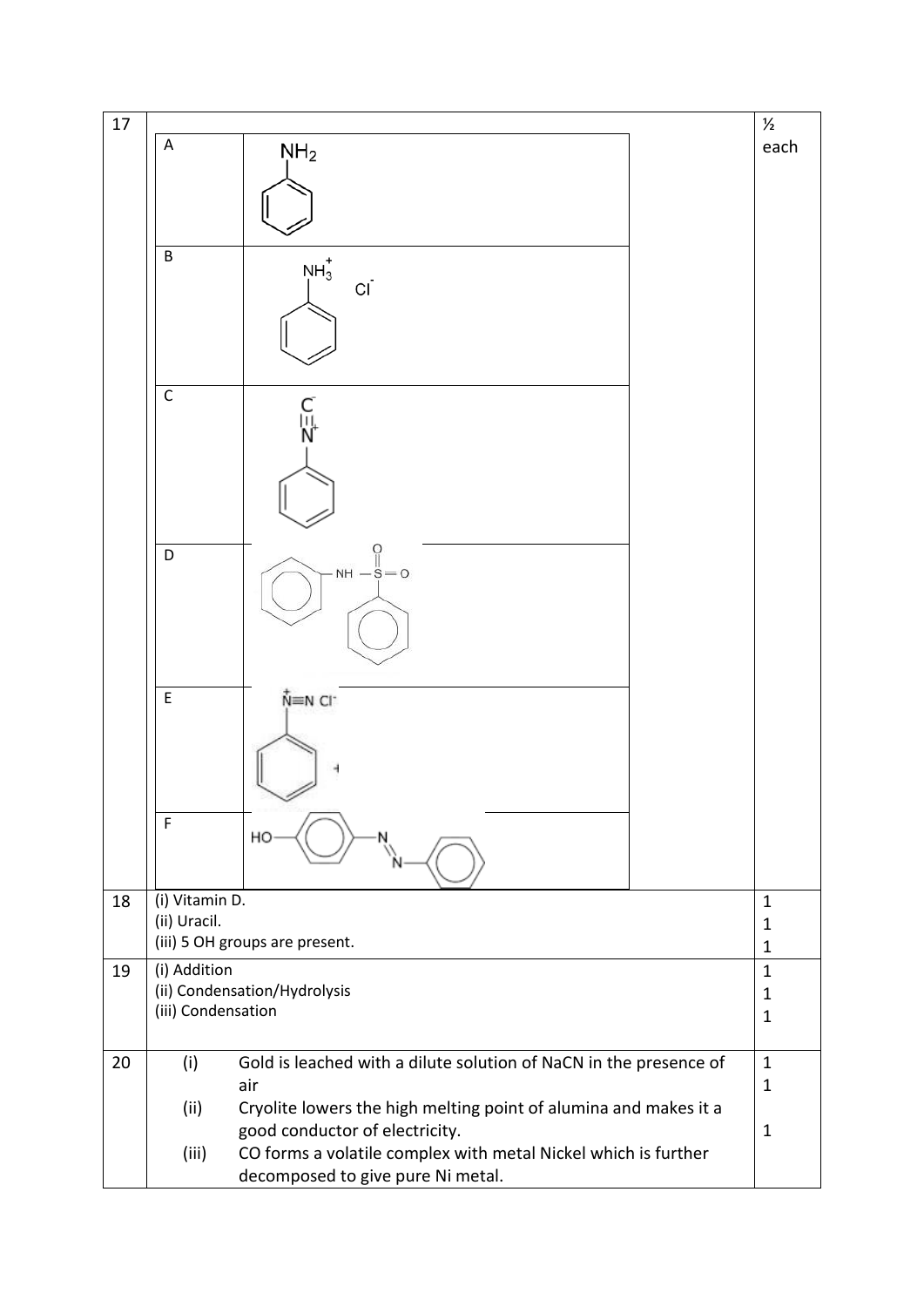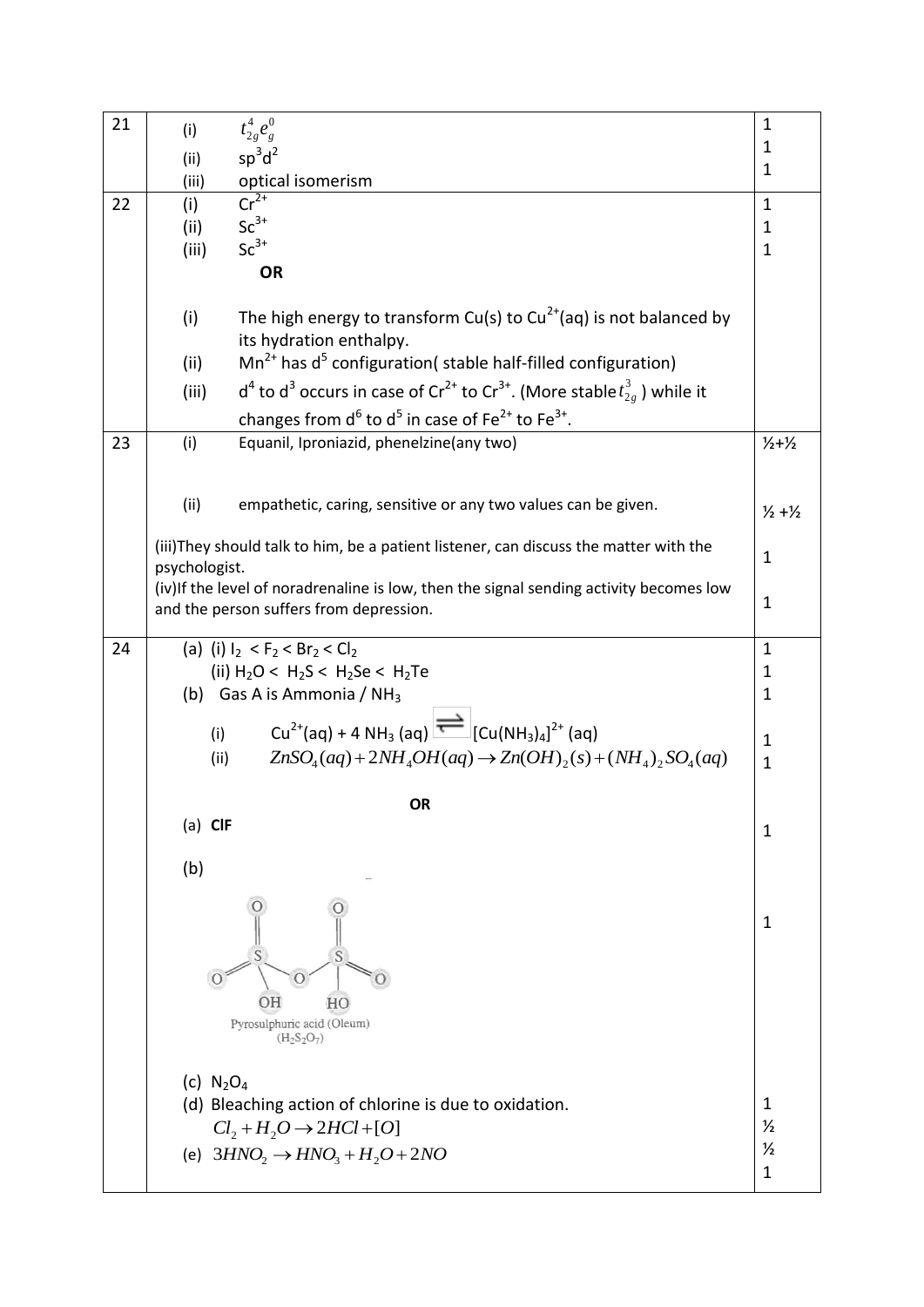| 21 | (i)                                                                                                                 | $t_{2g}^{4}e_{g}^{0}$                                         | $\mathbf{1}$                  |  |
|----|---------------------------------------------------------------------------------------------------------------------|---------------------------------------------------------------|-------------------------------|--|
|    | (ii)                                                                                                                | $sp^3d^2$                                                     | 1                             |  |
|    | (iii)                                                                                                               | optical isomerism                                             | $\mathbf{1}$                  |  |
| 22 | (i)                                                                                                                 | $Cr^{2+}$                                                     | $\mathbf{1}$                  |  |
|    | (ii)                                                                                                                | $Sc^{3+}$                                                     | $\mathbf{1}$<br>$\mathbf{1}$  |  |
|    | $Sc^{3+}$<br>(iii)                                                                                                  |                                                               |                               |  |
|    |                                                                                                                     | <b>OR</b>                                                     |                               |  |
|    | The high energy to transform Cu(s) to Cu <sup>2+</sup> (aq) is not balanced by<br>(i)<br>its hydration enthalpy.    |                                                               |                               |  |
|    | $Mn^{2+}$ has d <sup>5</sup> configuration( stable half-filled configuration)<br>(ii)                               |                                                               |                               |  |
|    | $d^4$ to $d^3$ occurs in case of Cr <sup>2+</sup> to Cr <sup>3+</sup> . (More stable $t_{2g}^3$ ) while it<br>(iii) |                                                               |                               |  |
|    | changes from $d^6$ to $d^5$ in case of Fe <sup>2+</sup> to Fe <sup>3+</sup> .                                       |                                                               |                               |  |
| 23 | (i)<br>Equanil, Iproniazid, phenelzine(any two)                                                                     |                                                               | $1/2 + 1/2$                   |  |
|    |                                                                                                                     |                                                               |                               |  |
|    | (ii)                                                                                                                | empathetic, caring, sensitive or any two values can be given. | $\frac{1}{2} + \frac{1}{2}$   |  |
|    |                                                                                                                     |                                                               |                               |  |
|    | (iii)They should talk to him, be a patient listener, can discuss the matter with the                                |                                                               |                               |  |
|    | psychologist.<br>(iv) If the level of noradrenaline is low, then the signal sending activity becomes low            |                                                               |                               |  |
|    | and the person suffers from depression.                                                                             |                                                               |                               |  |
|    |                                                                                                                     |                                                               |                               |  |
| 24 |                                                                                                                     | (a) (i) $I_2 < F_2 < Br_2 < Cl_2$                             | $\mathbf{1}$<br>1             |  |
|    | (ii) $H_2O < H_2S < H_2Se < H_2Te$<br>(b) Gas A is Ammonia / $NH3$                                                  |                                                               |                               |  |
|    |                                                                                                                     |                                                               |                               |  |
|    | $Cu^{2+}(aq) + 4 NH_3(aq)$ $\implies$ $[Cu(NH_3)_4]^{2+}(aq)$<br>(i)                                                |                                                               |                               |  |
|    | $ZnSO4(aq) + 2NH4OH(aq) \rightarrow Zn(OH)2(s) + (NH4)2SO4(aq)$<br>(ii)                                             |                                                               |                               |  |
|    | OR                                                                                                                  |                                                               |                               |  |
|    | $(a)$ CIF                                                                                                           |                                                               | 1                             |  |
|    |                                                                                                                     |                                                               |                               |  |
|    | (b)                                                                                                                 |                                                               |                               |  |
|    |                                                                                                                     |                                                               |                               |  |
|    |                                                                                                                     |                                                               |                               |  |
|    |                                                                                                                     | $\circ$                                                       |                               |  |
|    |                                                                                                                     | OН<br>HO<br>Pyrosulphuric acid (Oleum)                        |                               |  |
|    |                                                                                                                     | $(H_2S_2O_7)$                                                 |                               |  |
|    |                                                                                                                     |                                                               |                               |  |
|    | (c) $N_2O_4$                                                                                                        | (d) Bleaching action of chlorine is due to oxidation.         | 1                             |  |
|    |                                                                                                                     |                                                               | $\frac{1}{2}$                 |  |
|    | $Cl_2 + H_2O \rightarrow 2HCl + [O]$<br>(e) $3HNO_2 \rightarrow HNO_3 + H_2O + 2NO$                                 |                                                               |                               |  |
|    |                                                                                                                     |                                                               | $\frac{1}{2}$<br>$\mathbf{1}$ |  |
|    |                                                                                                                     |                                                               |                               |  |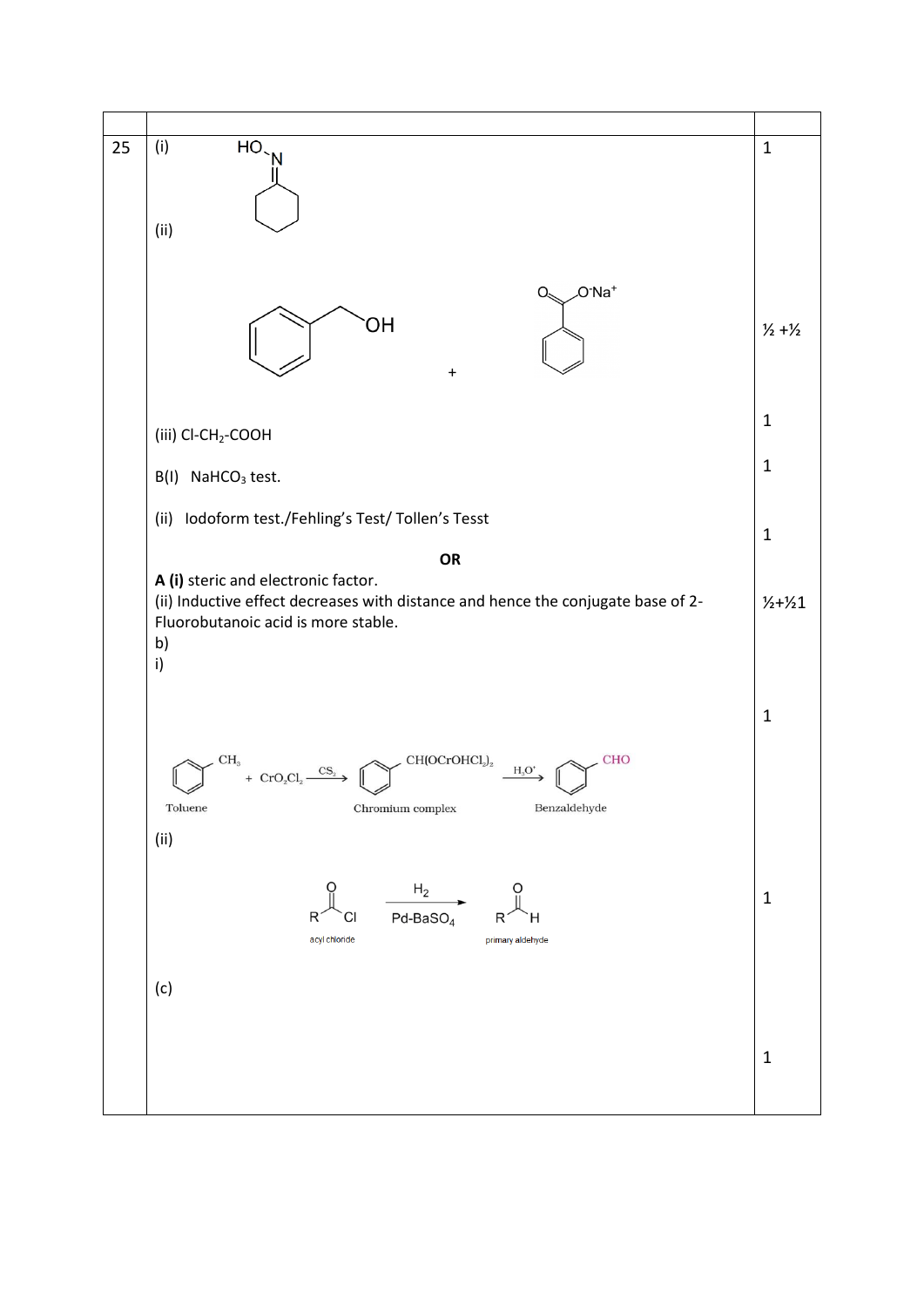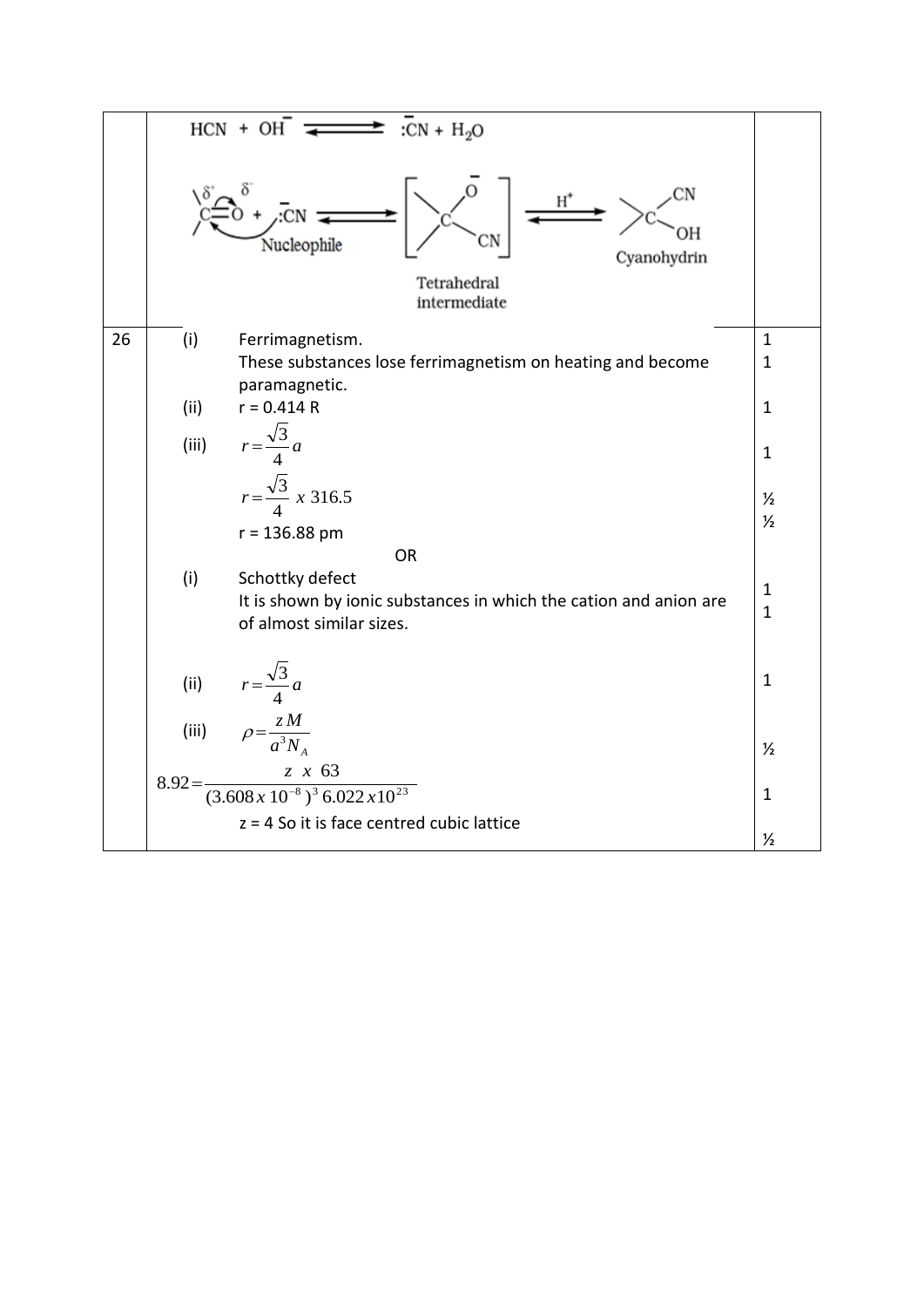|    |                                                                                               | $HCN + OH$<br>$\Rightarrow$ :CN + H <sub>2</sub> O                          |               |  |  |  |
|----|-----------------------------------------------------------------------------------------------|-----------------------------------------------------------------------------|---------------|--|--|--|
|    |                                                                                               | ЭH<br>Nucleophile<br>Cyanohydrin<br>Tetrahedral<br>intermediate             |               |  |  |  |
| 26 | (i)                                                                                           | Ferrimagnetism.                                                             | $\mathbf{1}$  |  |  |  |
|    |                                                                                               | These substances lose ferrimagnetism on heating and become<br>paramagnetic. | $\mathbf{1}$  |  |  |  |
|    | (ii)                                                                                          | $r = 0.414 R$                                                               | $\mathbf{1}$  |  |  |  |
|    | (iii)                                                                                         | $r = \frac{\sqrt{3}}{4}a$                                                   | $\mathbf{1}$  |  |  |  |
|    |                                                                                               | $r = \frac{\sqrt{3}}{4} \times 316.5$                                       | $\frac{1}{2}$ |  |  |  |
|    |                                                                                               | $r = 136.88$ pm                                                             | $\frac{1}{2}$ |  |  |  |
|    |                                                                                               | <b>OR</b>                                                                   |               |  |  |  |
|    | (i)<br>Schottky defect                                                                        |                                                                             |               |  |  |  |
|    | It is shown by ionic substances in which the cation and anion are<br>of almost similar sizes. |                                                                             |               |  |  |  |
|    | (ii)                                                                                          | $r = \frac{\sqrt{3}}{4}a$                                                   | $\mathbf{1}$  |  |  |  |
|    | (iii)                                                                                         | $\rho = \frac{Z M}{a^3 N_A}$                                                | $\frac{1}{2}$ |  |  |  |
|    | $8.92=$                                                                                       | $\frac{z x 63}{(3.608x10^{-8})^3 6.022x10^{23}}$                            | $\mathbf{1}$  |  |  |  |
|    |                                                                                               | $z = 4$ So it is face centred cubic lattice                                 | $\frac{1}{2}$ |  |  |  |